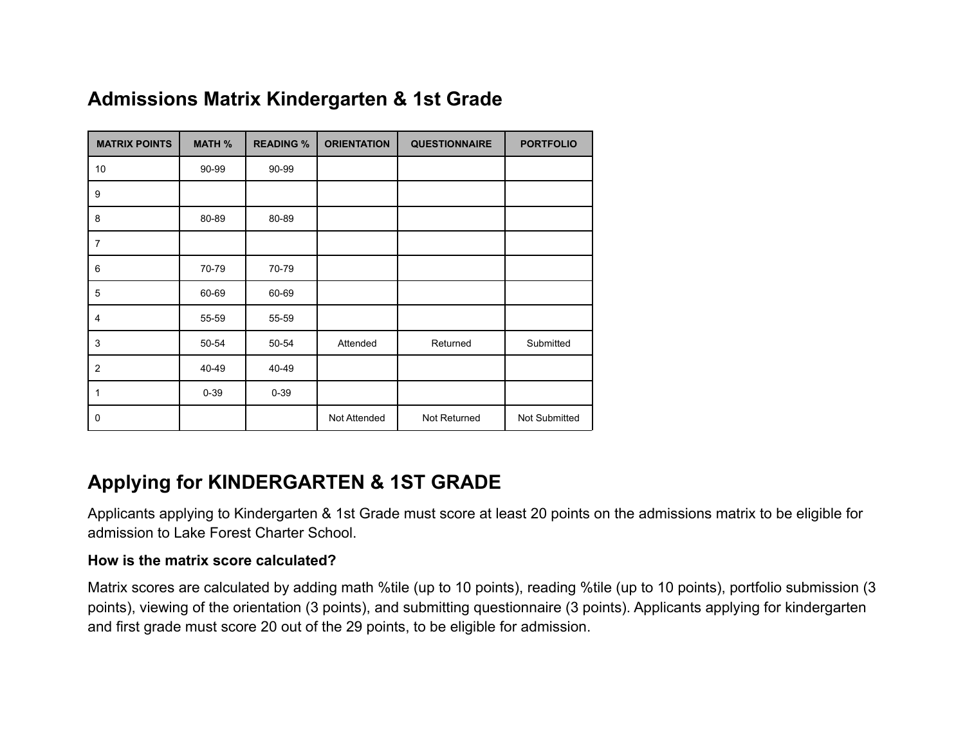| <b>MATRIX POINTS</b> | <b>MATH %</b> | <b>READING %</b> | <b>ORIENTATION</b> | <b>QUESTIONNAIRE</b> | <b>PORTFOLIO</b> |
|----------------------|---------------|------------------|--------------------|----------------------|------------------|
| 10                   | 90-99         | 90-99            |                    |                      |                  |
| 9                    |               |                  |                    |                      |                  |
| 8                    | 80-89         | 80-89            |                    |                      |                  |
| 7                    |               |                  |                    |                      |                  |
| 6                    | 70-79         | 70-79            |                    |                      |                  |
| 5                    | 60-69         | 60-69            |                    |                      |                  |
| 4                    | 55-59         | 55-59            |                    |                      |                  |
| 3                    | 50-54         | 50-54            | Attended           | Returned             | Submitted        |
| 2                    | 40-49         | 40-49            |                    |                      |                  |
| 1                    | $0 - 39$      | $0 - 39$         |                    |                      |                  |
| 0                    |               |                  | Not Attended       | Not Returned         | Not Submitted    |

# **Admissions Matrix Kindergarten & 1st Grade**

### **Applying for KINDERGARTEN & 1ST GRADE**

Applicants applying to Kindergarten & 1st Grade must score at least 20 points on the admissions matrix to be eligible for admission to Lake Forest Charter School.

#### **How is the matrix score calculated?**

Matrix scores are calculated by adding math %tile (up to 10 points), reading %tile (up to 10 points), portfolio submission (3 points), viewing of the orientation (3 points), and submitting questionnaire (3 points). Applicants applying for kindergarten and first grade must score 20 out of the 29 points, to be eligible for admission.